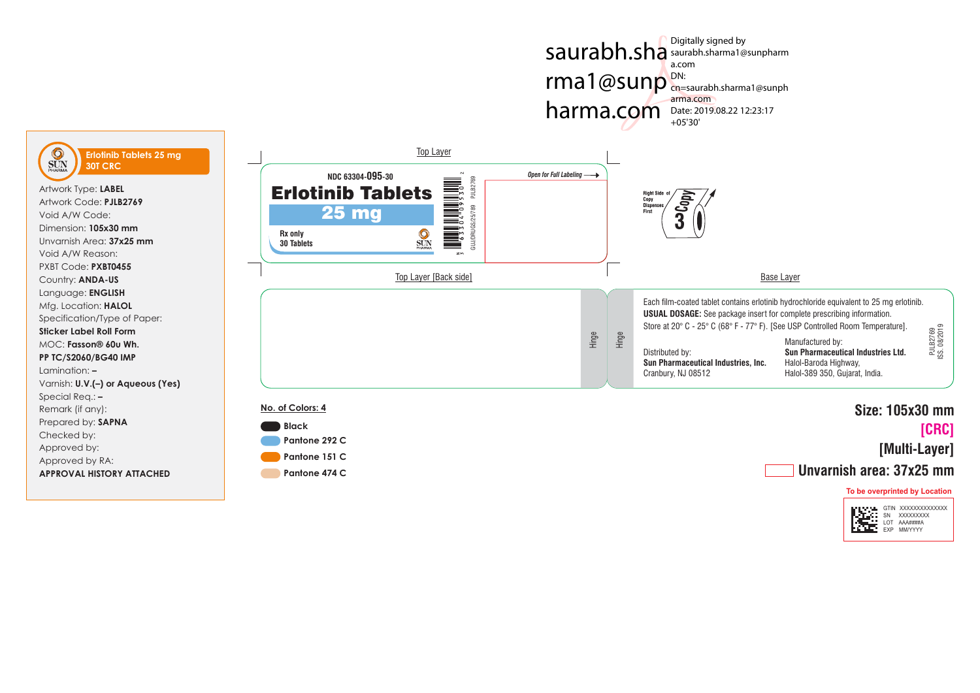